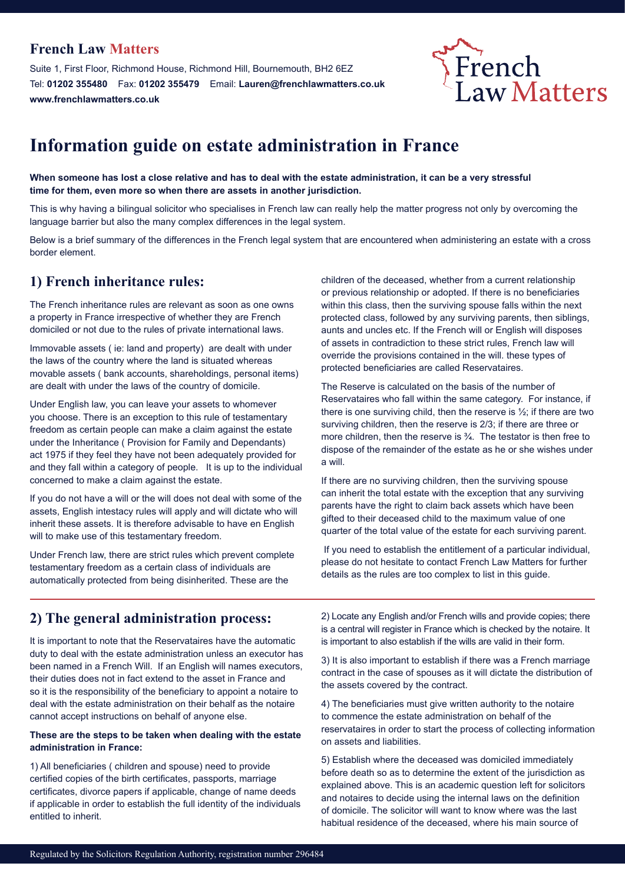#### **French Law Matters**

Suite 1, First Floor, Richmond House, Richmond Hill, Bournemouth, BH2 6EZ Tel: **01202 355480** Fax: **01202 355479** Email: **Lauren@frenchlawmatters.co.uk www.frenchlawmatters.co.uk**



# **Information guide on estate administration in France**

**When someone has lost a close relative and has to deal with the estate administration, it can be a very stressful time for them, even more so when there are assets in another jurisdiction.** 

This is why having a bilingual solicitor who specialises in French law can really help the matter progress not only by overcoming the language barrier but also the many complex differences in the legal system.

Below is a brief summary of the differences in the French legal system that are encountered when administering an estate with a cross border element.

#### **1) French inheritance rules:**

The French inheritance rules are relevant as soon as one owns a property in France irrespective of whether they are French domiciled or not due to the rules of private international laws.

Immovable assets ( ie: land and property) are dealt with under the laws of the country where the land is situated whereas movable assets ( bank accounts, shareholdings, personal items) are dealt with under the laws of the country of domicile.

Under English law, you can leave your assets to whomever you choose. There is an exception to this rule of testamentary freedom as certain people can make a claim against the estate under the Inheritance ( Provision for Family and Dependants) act 1975 if they feel they have not been adequately provided for and they fall within a category of people. It is up to the individual concerned to make a claim against the estate.

If you do not have a will or the will does not deal with some of the assets, English intestacy rules will apply and will dictate who will inherit these assets. It is therefore advisable to have en English will to make use of this testamentary freedom.

Under French law, there are strict rules which prevent complete testamentary freedom as a certain class of individuals are automatically protected from being disinherited. These are the

children of the deceased, whether from a current relationship or previous relationship or adopted. If there is no beneficiaries within this class, then the surviving spouse falls within the next protected class, followed by any surviving parents, then siblings, aunts and uncles etc. If the French will or English will disposes of assets in contradiction to these strict rules, French law will override the provisions contained in the will. these types of protected beneficiaries are called Reservataires.

The Reserve is calculated on the basis of the number of Reservataires who fall within the same category. For instance, if there is one surviving child, then the reserve is  $\frac{1}{2}$ ; if there are two surviving children, then the reserve is 2/3; if there are three or more children, then the reserve is ¾. The testator is then free to dispose of the remainder of the estate as he or she wishes under a will.

If there are no surviving children, then the surviving spouse can inherit the total estate with the exception that any surviving parents have the right to claim back assets which have been gifted to their deceased child to the maximum value of one quarter of the total value of the estate for each surviving parent.

 If you need to establish the entitlement of a particular individual, please do not hesitate to contact French Law Matters for further details as the rules are too complex to list in this guide.

#### **2) The general administration process:**

It is important to note that the Reservataires have the automatic duty to deal with the estate administration unless an executor has been named in a French Will. If an English will names executors, their duties does not in fact extend to the asset in France and so it is the responsibility of the beneficiary to appoint a notaire to deal with the estate administration on their behalf as the notaire cannot accept instructions on behalf of anyone else.

#### **These are the steps to be taken when dealing with the estate administration in France:**

1) All beneficiaries ( children and spouse) need to provide certified copies of the birth certificates, passports, marriage certificates, divorce papers if applicable, change of name deeds if applicable in order to establish the full identity of the individuals entitled to inherit.

2) Locate any English and/or French wills and provide copies; there is a central will register in France which is checked by the notaire. It is important to also establish if the wills are valid in their form.

3) It is also important to establish if there was a French marriage contract in the case of spouses as it will dictate the distribution of the assets covered by the contract.

4) The beneficiaries must give written authority to the notaire to commence the estate administration on behalf of the reservataires in order to start the process of collecting information on assets and liabilities.

5) Establish where the deceased was domiciled immediately before death so as to determine the extent of the jurisdiction as explained above. This is an academic question left for solicitors and notaires to decide using the internal laws on the definition of domicile. The solicitor will want to know where was the last habitual residence of the deceased, where his main source of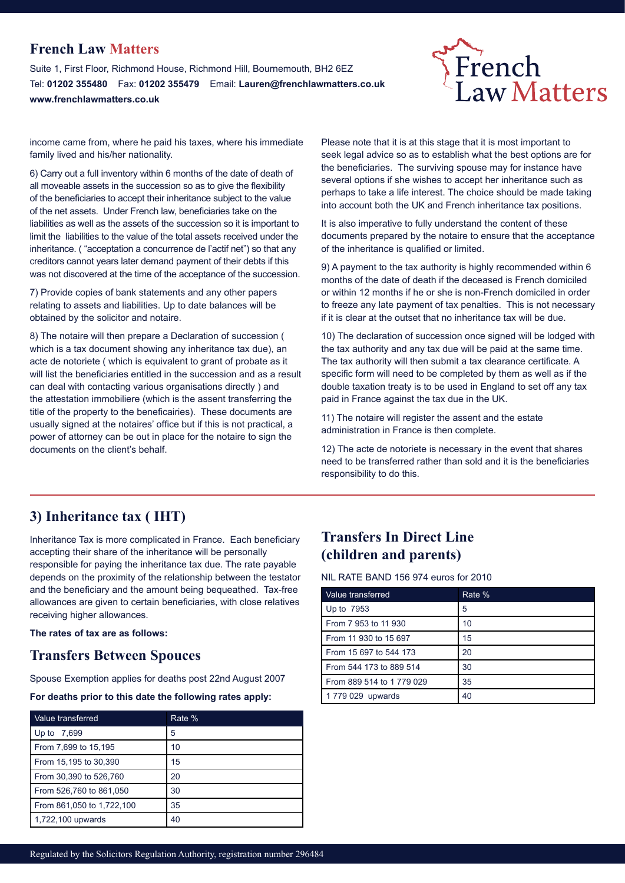#### **French Law Matters**

Suite 1, First Floor, Richmond House, Richmond Hill, Bournemouth, BH2 6EZ Tel: **01202 355480** Fax: **01202 355479** Email: **Lauren@frenchlawmatters.co.uk www.frenchlawmatters.co.uk**



income came from, where he paid his taxes, where his immediate family lived and his/her nationality.

6) Carry out a full inventory within 6 months of the date of death of all moveable assets in the succession so as to give the flexibility of the beneficiaries to accept their inheritance subject to the value of the net assets. Under French law, beneficiaries take on the liabilities as well as the assets of the succession so it is important to limit the liabilities to the value of the total assets received under the inheritance. ( "acceptation a concurrence de l'actif net") so that any creditors cannot years later demand payment of their debts if this was not discovered at the time of the acceptance of the succession.

7) Provide copies of bank statements and any other papers relating to assets and liabilities. Up to date balances will be obtained by the solicitor and notaire.

8) The notaire will then prepare a Declaration of succession ( which is a tax document showing any inheritance tax due), an acte de notoriete ( which is equivalent to grant of probate as it will list the beneficiaries entitled in the succession and as a result can deal with contacting various organisations directly ) and the attestation immobiliere (which is the assent transferring the title of the property to the beneficairies). These documents are usually signed at the notaires' office but if this is not practical, a power of attorney can be out in place for the notaire to sign the documents on the client's behalf.

Please note that it is at this stage that it is most important to seek legal advice so as to establish what the best options are for the beneficiaries. The surviving spouse may for instance have several options if she wishes to accept her inheritance such as perhaps to take a life interest. The choice should be made taking into account both the UK and French inheritance tax positions.

It is also imperative to fully understand the content of these documents prepared by the notaire to ensure that the acceptance of the inheritance is qualified or limited.

9) A payment to the tax authority is highly recommended within 6 months of the date of death if the deceased is French domiciled or within 12 months if he or she is non-French domiciled in order to freeze any late payment of tax penalties. This is not necessary if it is clear at the outset that no inheritance tax will be due.

10) The declaration of succession once signed will be lodged with the tax authority and any tax due will be paid at the same time. The tax authority will then submit a tax clearance certificate. A specific form will need to be completed by them as well as if the double taxation treaty is to be used in England to set off any tax paid in France against the tax due in the UK.

11) The notaire will register the assent and the estate administration in France is then complete.

12) The acte de notoriete is necessary in the event that shares need to be transferred rather than sold and it is the beneficiaries responsibility to do this.

#### **3) Inheritance tax ( IHT)**

Inheritance Tax is more complicated in France. Each beneficiary accepting their share of the inheritance will be personally responsible for paying the inheritance tax due. The rate payable depends on the proximity of the relationship between the testator and the beneficiary and the amount being bequeathed. Tax-free allowances are given to certain beneficiaries, with close relatives receiving higher allowances.

**The rates of tax are as follows:**

#### **Transfers Between Spouces**

Spouse Exemption applies for deaths post 22nd August 2007

**For deaths prior to this date the following rates apply:**

| Value transferred         | Rate % |
|---------------------------|--------|
| Up to 7,699               | 5      |
| From 7,699 to 15,195      | 10     |
| From 15,195 to 30,390     | 15     |
| From 30,390 to 526,760    | 20     |
| From 526,760 to 861,050   | 30     |
| From 861,050 to 1,722,100 | 35     |
| 1,722,100 upwards         | 40     |

### **Transfers In Direct Line (children and parents)**

NIL RATE BAND 156 974 euros for 2010

| Value transferred        | Rate % |
|--------------------------|--------|
| Up to 7953               | 5      |
| From 7 953 to 11 930     | 10     |
| From 11 930 to 15 697    | 15     |
| From 15 697 to 544 173   | 20     |
| From 544 173 to 889 514  | 30     |
| From 889 514 to 1779 029 | 35     |
| 1779 029 upwards         | 40     |